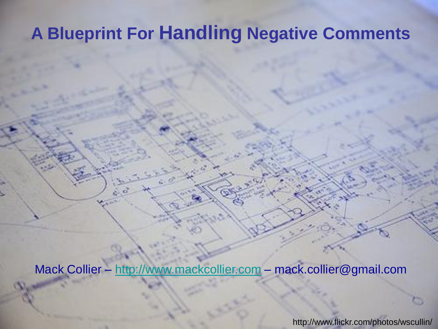## **A Blueprint For Handling Negative Comments**

Mack Collier – [http://www.mackcollier.com](http://www.mackcollier.com/) – mack.collier@gmail.com

http://www.flickr.com/photos/wscullin/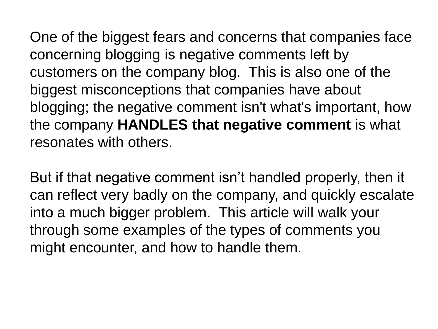One of the biggest fears and concerns that companies face concerning blogging is negative comments left by customers on the company blog. This is also one of the biggest misconceptions that companies have about blogging; the negative comment isn't what's important, how the company **HANDLES that negative comment** is what resonates with others.

But if that negative comment isn"t handled properly, then it can reflect very badly on the company, and quickly escalate into a much bigger problem. This article will walk your through some examples of the types of comments you might encounter, and how to handle them.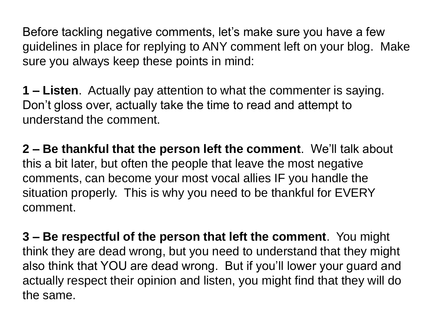Before tackling negative comments, let's make sure you have a few guidelines in place for replying to ANY comment left on your blog. Make sure you always keep these points in mind:

**1 – Listen**. Actually pay attention to what the commenter is saying. Don"t gloss over, actually take the time to read and attempt to understand the comment.

**2 – Be thankful that the person left the comment**. We"ll talk about this a bit later, but often the people that leave the most negative comments, can become your most vocal allies IF you handle the situation properly. This is why you need to be thankful for EVERY comment.

**3 – Be respectful of the person that left the comment**. You might think they are dead wrong, but you need to understand that they might also think that YOU are dead wrong. But if you"ll lower your guard and actually respect their opinion and listen, you might find that they will do the same.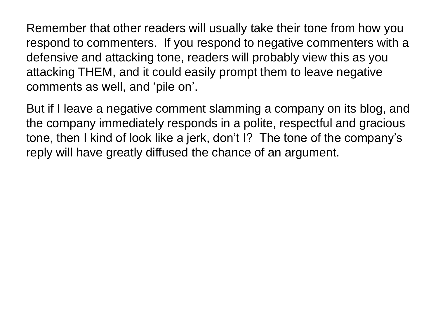Remember that other readers will usually take their tone from how you respond to commenters. If you respond to negative commenters with a defensive and attacking tone, readers will probably view this as you attacking THEM, and it could easily prompt them to leave negative comments as well, and "pile on".

But if I leave a negative comment slamming a company on its blog, and the company immediately responds in a polite, respectful and gracious tone, then I kind of look like a jerk, don't I? The tone of the company's reply will have greatly diffused the chance of an argument.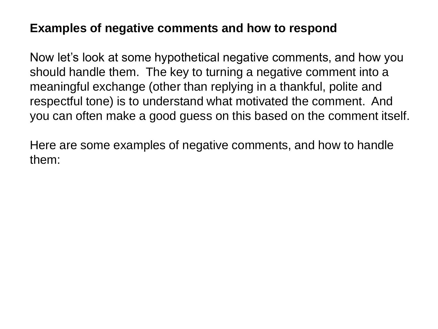## **Examples of negative comments and how to respond**

Now let's look at some hypothetical negative comments, and how you should handle them. The key to turning a negative comment into a meaningful exchange (other than replying in a thankful, polite and respectful tone) is to understand what motivated the comment. And you can often make a good guess on this based on the comment itself.

Here are some examples of negative comments, and how to handle them: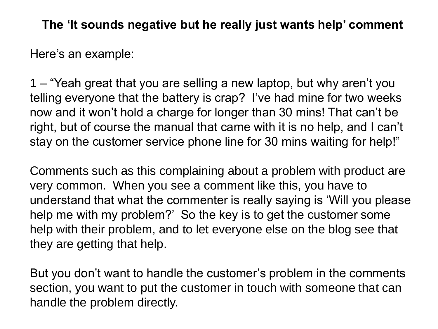**The 'It sounds negative but he really just wants help' comment**

Here"s an example:

1 – "Yeah great that you are selling a new laptop, but why aren"t you telling everyone that the battery is crap? I've had mine for two weeks now and it won"t hold a charge for longer than 30 mins! That can"t be right, but of course the manual that came with it is no help, and I can"t stay on the customer service phone line for 30 mins waiting for help!"

Comments such as this complaining about a problem with product are very common. When you see a comment like this, you have to understand that what the commenter is really saying is "Will you please help me with my problem?' So the key is to get the customer some help with their problem, and to let everyone else on the blog see that they are getting that help.

But you don't want to handle the customer's problem in the comments section, you want to put the customer in touch with someone that can handle the problem directly.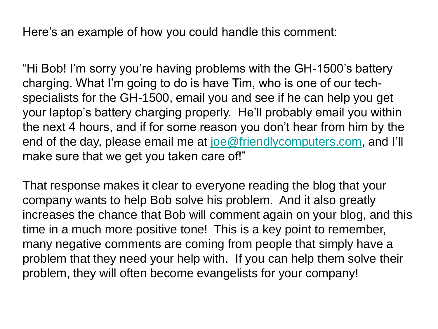Here's an example of how you could handle this comment:

"Hi Bob! I"m sorry you"re having problems with the GH-1500"s battery charging. What I"m going to do is have Tim, who is one of our techspecialists for the GH-1500, email you and see if he can help you get your laptop"s battery charging properly. He"ll probably email you within the next 4 hours, and if for some reason you don"t hear from him by the end of the day, please email me at [joe@friendlycomputers.com,](mailto:joe@friendlycomputers.com) and I'll make sure that we get you taken care of!"

That response makes it clear to everyone reading the blog that your company wants to help Bob solve his problem. And it also greatly increases the chance that Bob will comment again on your blog, and this time in a much more positive tone! This is a key point to remember, many negative comments are coming from people that simply have a problem that they need your help with. If you can help them solve their problem, they will often become evangelists for your company!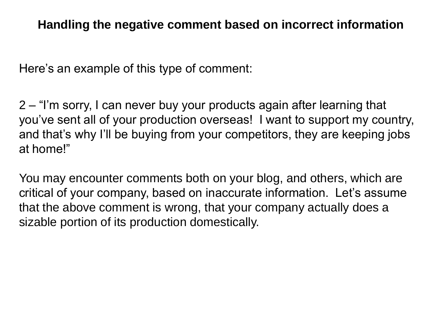Here's an example of this type of comment:

2 – "I"m sorry, I can never buy your products again after learning that you"ve sent all of your production overseas! I want to support my country, and that's why I'll be buying from your competitors, they are keeping jobs at home!"

You may encounter comments both on your blog, and others, which are critical of your company, based on inaccurate information. Let"s assume that the above comment is wrong, that your company actually does a sizable portion of its production domestically.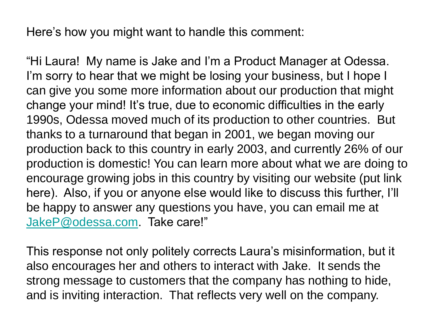Here's how you might want to handle this comment:

"Hi Laura! My name is Jake and I"m a Product Manager at Odessa. I'm sorry to hear that we might be losing your business, but I hope I can give you some more information about our production that might change your mind! It"s true, due to economic difficulties in the early 1990s, Odessa moved much of its production to other countries. But thanks to a turnaround that began in 2001, we began moving our production back to this country in early 2003, and currently 26% of our production is domestic! You can learn more about what we are doing to encourage growing jobs in this country by visiting our website (put link here). Also, if you or anyone else would like to discuss this further, I"ll be happy to answer any questions you have, you can email me at [JakeP@odessa.com](mailto:JakeP@odessa.com). Take care!"

This response not only politely corrects Laura"s misinformation, but it also encourages her and others to interact with Jake. It sends the strong message to customers that the company has nothing to hide, and is inviting interaction. That reflects very well on the company.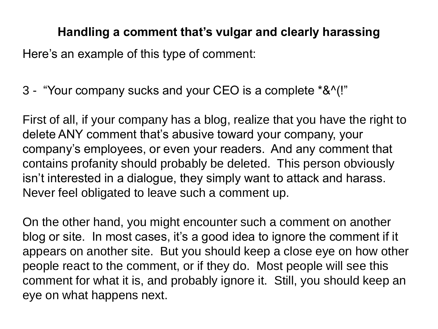## **Handling a comment that's vulgar and clearly harassing**

Here's an example of this type of comment:

3 - "Your company sucks and your CEO is a complete \*&^(!"

First of all, if your company has a blog, realize that you have the right to delete ANY comment that"s abusive toward your company, your company"s employees, or even your readers. And any comment that contains profanity should probably be deleted. This person obviously isn't interested in a dialogue, they simply want to attack and harass. Never feel obligated to leave such a comment up.

On the other hand, you might encounter such a comment on another blog or site. In most cases, it's a good idea to ignore the comment if it appears on another site. But you should keep a close eye on how other people react to the comment, or if they do. Most people will see this comment for what it is, and probably ignore it. Still, you should keep an eye on what happens next.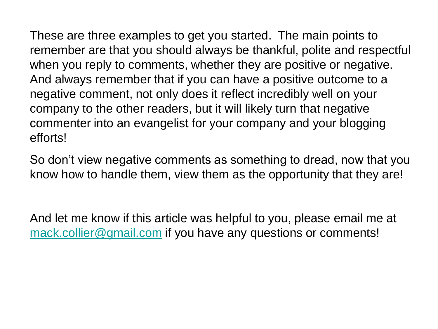These are three examples to get you started. The main points to remember are that you should always be thankful, polite and respectful when you reply to comments, whether they are positive or negative. And always remember that if you can have a positive outcome to a negative comment, not only does it reflect incredibly well on your company to the other readers, but it will likely turn that negative commenter into an evangelist for your company and your blogging efforts!

So don"t view negative comments as something to dread, now that you know how to handle them, view them as the opportunity that they are!

And let me know if this article was helpful to you, please email me at [mack.collier@gmail.com](mailto:mack.collier@gmail.com) if you have any questions or comments!